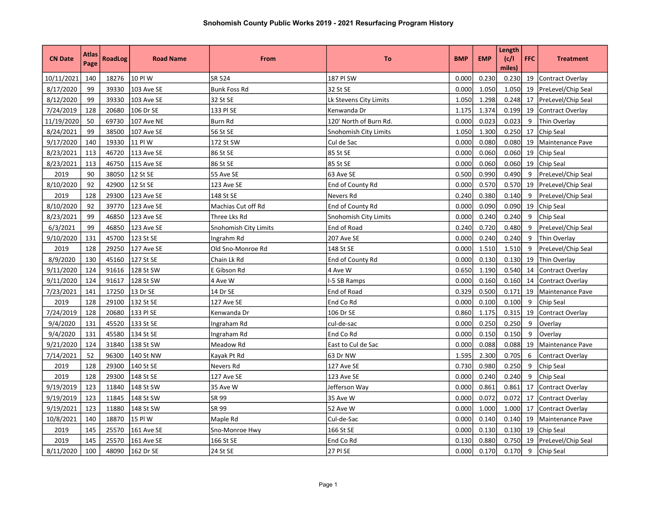|                |       |                |                  |                       |                        |            |            | Length |            |                         |
|----------------|-------|----------------|------------------|-----------------------|------------------------|------------|------------|--------|------------|-------------------------|
| <b>CN Date</b> | Atlas | <b>RoadLog</b> | <b>Road Name</b> | From                  | To                     | <b>BMP</b> | <b>EMP</b> | (c/l)  | <b>FFC</b> | <b>Treatment</b>        |
|                | Page  |                |                  |                       |                        |            |            | miles) |            |                         |
| 10/11/2021     | 140   | 18276          | 10 PI W          | SR 524                | 187 PI SW              | 0.000      | 0.230      | 0.230  | 19         | Contract Overlay        |
| 8/17/2020      | 99    | 39330          | 103 Ave SE       | <b>Bunk Foss Rd</b>   | 32 St SE               | 0.000      | 1.050      | 1.050  | 19         | PreLevel/Chip Seal      |
| 8/12/2020      | 99    | 39330          | 103 Ave SE       | 32 St SE              | Lk Stevens City Limits | 1.050      | 1.298      | 0.248  | 17         | PreLevel/Chip Seal      |
| 7/24/2019      | 128   | 20680          | 106 Dr SE        | 133 PI SE             | Kenwanda Dr            | 1.175      | 1.374      | 0.199  | 19         | <b>Contract Overlay</b> |
| 11/19/2020     | 50    | 69730          | 107 Ave NE       | Burn Rd               | 120' North of Burn Rd. | 0.000      | 0.023      | 0.023  | 9          | Thin Overlay            |
| 8/24/2021      | 99    | 38500          | 107 Ave SE       | 56 St SE              | Snohomish City Limits  | 1.050      | 1.300      | 0.250  | 17         | Chip Seal               |
| 9/17/2020      | 140   | 19330          | 11 PI W          | 172 St SW             | Cul de Sac             | 0.000      | 0.080      | 0.080  | 19         | Maintenance Pave        |
| 8/23/2021      | 113   | 46720          | 113 Ave SE       | 86 St SE              | 85 St SE               | 0.000      | 0.060      | 0.060  | 19         | Chip Seal               |
| 8/23/2021      | 113   | 46750          | 115 Ave SE       | 86 St SE              | 85 St SE               | 0.000      | 0.060      | 0.060  | 19         | <b>Chip Seal</b>        |
| 2019           | 90    | 38050          | 12 St SE         | 55 Ave SE             | 63 Ave SE              | 0.500      | 0.990      | 0.490  | 9          | PreLevel/Chip Seal      |
| 8/10/2020      | 92    | 42900          | 12 St SE         | 123 Ave SE            | End of County Rd       | 0.000      | 0.570      | 0.570  | 19         | PreLevel/Chip Seal      |
| 2019           | 128   | 29300          | 123 Ave SE       | 148 St SE             | Nevers Rd              | 0.240      | 0.380      | 0.140  | 9          | PreLevel/Chip Seal      |
| 8/10/2020      | 92    | 39770          | 123 Ave SE       | Machias Cut off Rd    | End of County Rd       | 0.000      | 0.090      | 0.090  | 19         | Chip Seal               |
| 8/23/2021      | 99    | 46850          | 123 Ave SE       | Three Lks Rd          | Snohomish City Limits  | 0.000      | 0.240      | 0.240  | 9          | Chip Seal               |
| 6/3/2021       | 99    | 46850          | 123 Ave SE       | Snohomish City Limits | End of Road            | 0.240      | 0.720      | 0.480  | 9          | PreLevel/Chip Seal      |
| 9/10/2020      | 131   | 45700          | 123 St SE        | Ingrahm Rd            | 207 Ave SE             | 0.000      | 0.240      | 0.240  | 9          | Thin Overlay            |
| 2019           | 128   | 29250          | 127 Ave SE       | Old Sno-Monroe Rd     | 148 St SE              | 0.000      | 1.510      | 1.510  | 9          | PreLevel/Chip Seal      |
| 8/9/2020       | 130   | 45160          | 127 St SE        | Chain Lk Rd           | End of County Rd       | 0.000      | 0.130      | 0.130  | 19         | Thin Overlay            |
| 9/11/2020      | 124   | 91616          | 128 St SW        | E Gibson Rd           | 4 Ave W                | 0.650      | 1.190      | 0.540  | 14         | Contract Overlay        |
| 9/11/2020      | 124   | 91617          | 128 St SW        | 4 Ave W               | -5 SB Ramps            | 0.000      | 0.160      | 0.160  | 14         | <b>Contract Overlay</b> |
| 7/23/2021      | 141   | 17250          | 13 Dr SE         | 14 Dr SE              | End of Road            | 0.329      | 0.500      | 0.171  | 19         | Maintenance Pave        |
| 2019           | 128   | 29100          | 132 St SE        | 127 Ave SE            | End Co Rd              | 0.000      | 0.100      | 0.100  | 9          | Chip Seal               |
| 7/24/2019      | 128   | 20680          | 133 PI SE        | Kenwanda Dr           | 106 Dr SE              | 0.860      | 1.175      | 0.315  | 19         | Contract Overlay        |
| 9/4/2020       | 131   | 45520          | 133 St SE        | Ingraham Rd           | cul-de-sac             | 0.000      | 0.250      | 0.250  | 9          | Overlay                 |
| 9/4/2020       | 131   | 45580          | 134 St SE        | Ingraham Rd           | End Co Rd              | 0.000      | 0.150      | 0.150  | 9          | Overlay                 |
| 9/21/2020      | 124   | 31840          | 138 St SW        | Meadow Rd             | East to Cul de Sac     | 0.000      | 0.088      | 0.088  | 19         | Maintenance Pave        |
| 7/14/2021      | 52    | 96300          | 140 St NW        | Kayak Pt Rd           | 63 Dr NW               | 1.595      | 2.300      | 0.705  | 6          | Contract Overlay        |
| 2019           | 128   | 29300          | 140 St SE        | Nevers Rd             | 127 Ave SE             | 0.730      | 0.980      | 0.250  | 9          | Chip Seal               |
| 2019           | 128   | 29300          | 148 St SE        | 127 Ave SE            | 123 Ave SE             | 0.000      | 0.240      | 0.240  | 9          | Chip Seal               |
| 9/19/2019      | 123   | 11840          | 148 St SW        | 35 Ave W              | Jefferson Way          | 0.000      | 0.861      | 0.861  | 17         | Contract Overlay        |
| 9/19/2019      | 123   | 11845          | 148 St SW        | SR 99                 | 35 Ave W               | 0.000      | 0.072      | 0.072  | 17         | Contract Overlay        |
| 9/19/2021      | 123   | 11880          | 148 St SW        | SR 99                 | 52 Ave W               | 0.000      | 1.000      | 1.000  | 17         | Contract Overlay        |
| 10/8/2021      | 140   | 18870          | 15 PI W          | Maple Rd              | Cul-de-Sac             | 0.000      | 0.140      | 0.140  | 19         | Maintenance Pave        |
| 2019           | 145   | 25570          | 161 Ave SE       | Sno-Monroe Hwy        | 166 St SE              | 0.000      | 0.130      | 0.130  | 19         | Chip Seal               |
| 2019           | 145   | 25570          | 161 Ave SE       | 166 St SE             | End Co Rd              | 0.130      | 0.880      | 0.750  | 19         | PreLevel/Chip Seal      |
| 8/11/2020      | 100   | 48090          | 162 Dr SE        | 24 St SE              | 27 PI SE               | 0.000      | 0.170      | 0.170  | 9          | Chip Seal               |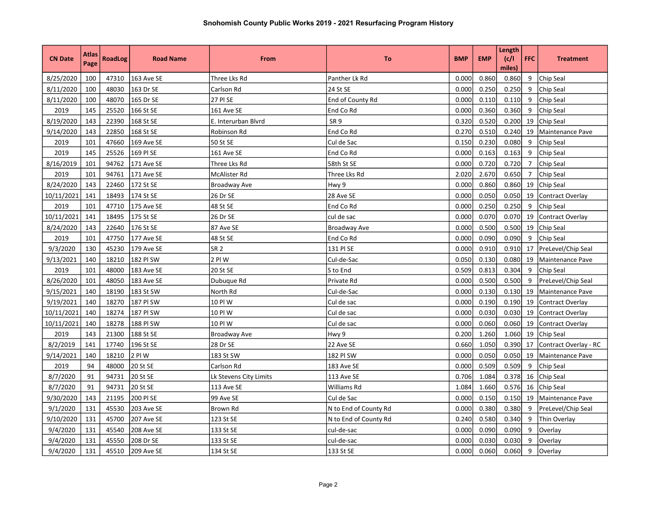| <b>CN Date</b> | Atlas<br>Page | <b>RoadLog</b> | <b>Road Name</b> | From                   | To                    | <b>BMP</b> | <b>EMP</b> | Length<br>(c/l)<br>miles) | <b>FFC</b>     | <b>Treatment</b>      |
|----------------|---------------|----------------|------------------|------------------------|-----------------------|------------|------------|---------------------------|----------------|-----------------------|
| 8/25/2020      | 100           | 47310          | 163 Ave SE       | Three Lks Rd           | Panther Lk Rd         | 0.000      | 0.860      | 0.860                     | 9              | Chip Seal             |
| 8/11/2020      | 100           | 48030          | 163 Dr SE        | Carlson Rd             | 24 St SE              | 0.000      | 0.250      | 0.250                     | 9              | Chip Seal             |
| 8/11/2020      | 100           | 48070          | 165 Dr SE        | 27 PI SE               | End of County Rd      | 0.000      | 0.110      | 0.110                     | 9              | Chip Seal             |
| 2019           | 145           | 25520          | 166 St SE        | 161 Ave SE             | End Co Rd             | 0.000      | 0.360      | 0.360                     | 9              | Chip Seal             |
| 8/19/2020      | 143           | 22390          | 168 St SE        | E. Interurban Blvrd    | SR <sub>9</sub>       | 0.320      | 0.520      | 0.200                     | 19             | Chip Seal             |
| 9/14/2020      | 143           | 22850          | 168 St SE        | Robinson Rd            | End Co Rd             | 0.270      | 0.510      | 0.240                     | 19             | Maintenance Pave      |
| 2019           | 101           | 47660          | 169 Ave SE       | 50 St SE               | Cul de Sac            | 0.150      | 0.230      | 0.080                     | 9              | Chip Seal             |
| 2019           | 145           | 25526          | 169 PI SE        | 161 Ave SE             | End Co Rd             | 0.000      | 0.163      | 0.163                     | 9              | Chip Seal             |
| 8/16/2019      | 101           | 94762          | 171 Ave SE       | Three Lks Rd           | 58th St SE            | 0.000      | 0.720      | 0.720                     | $\overline{7}$ | <b>Chip Seal</b>      |
| 2019           | 101           | 94761          | 171 Ave SE       | McAlister Rd           | Three Lks Rd          | 2.020      | 2.670      | 0.650                     | $\overline{7}$ | Chip Seal             |
| 8/24/2020      | 143           | 22460          | 172 St SE        | Broadway Ave           | Hwy 9                 | 0.000      | 0.860      | 0.860                     | 19             | <b>Chip Seal</b>      |
| 10/11/2021     | 141           | 18493          | 174 St SE        | 26 Dr SE               | 28 Ave SE             | 0.000      | 0.050      | 0.050                     | 19             | Contract Overlay      |
| 2019           | 101           | 47710          | 175 Ave SE       | 48 St SE               | End Co Rd             | 0.000      | 0.250      | 0.250                     | 9              | Chip Seal             |
| 10/11/2021     | 141           | 18495          | 175 St SE        | 26 Dr SE               | cul de sac            | 0.000      | 0.070      | 0.070                     | 19             | Contract Overlay      |
| 8/24/2020      | 143           | 22640          | 176 St SE        | 87 Ave SE              | Broadway Ave          | 0.000      | 0.500      | 0.500                     | 19             | Chip Seal             |
| 2019           | 101           | 47750          | 177 Ave SE       | 48 St SE               | End Co Rd             | 0.000      | 0.090      | 0.090                     | 9              | Chip Seal             |
| 9/3/2020       | 130           | 45230          | 179 Ave SE       | SR <sub>2</sub>        | 131 PI SE             | 0.000      | 0.910      | 0.910                     | 17             | PreLevel/Chip Seal    |
| 9/13/2021      | 140           | 18210          | 182 PI SW        | 2 PIW                  | Cul-de-Sac            | 0.050      | 0.130      | 0.080                     | 19             | Maintenance Pave      |
| 2019           | 101           | 48000          | 183 Ave SE       | 20 St SE               | S to End              | 0.509      | 0.813      | 0.304                     | 9              | Chip Seal             |
| 8/26/2020      | 101           | 48050          | 183 Ave SE       | Dubuque Rd             | Private Rd            | 0.000      | 0.500      | 0.500                     | 9              | PreLevel/Chip Seal    |
| 9/15/2021      | 140           | 18190          | 183 St SW        | North Rd               | Cul-de-Sac            | 0.000      | 0.130      | 0.130                     | 19             | Maintenance Pave      |
| 9/19/2021      | 140           | 18270          | 187 PI SW        | 10 PI W                | Cul de sac            | 0.000      | 0.190      | 0.190                     | 19             | Contract Overlay      |
| 10/11/2021     | 140           | 18274          | 187 PI SW        | 10 PI W                | Cul de sac            | 0.000      | 0.030      | 0.030                     | 19             | Contract Overlay      |
| 10/11/2021     | 140           | 18278          | 188 PI SW        | 10 PI W                | Cul de sac            | 0.000      | 0.060      | 0.060                     | 19             | Contract Overlay      |
| 2019           | 143           | 21300          | 188 St SE        | Broadway Ave           | Hwy 9                 | 0.200      | 1.260      | 1.060                     | 19             | <b>Chip Seal</b>      |
| 8/2/2019       | 141           | 17740          | 196 St SE        | 28 Dr SE               | 22 Ave SE             | 0.660      | 1.050      | 0.390                     | 17             | Contract Overlay - RC |
| 9/14/2021      | 140           | 18210          | 2 PIW            | 183 St SW              | 182 PI SW             | 0.000      | 0.050      | 0.050                     | 19             | Maintenance Pave      |
| 2019           | 94            | 48000          | 20 St SE         | Carlson Rd             | 183 Ave SE            | 0.000      | 0.509      | 0.509                     | 9              | Chip Seal             |
| 8/7/2020       | 91            | 94731          | 20 St SE         | Lk Stevens City Limits | 113 Ave SE            | 0.706      | 1.084      | 0.378                     | 16             | Chip Seal             |
| 8/7/2020       | 91            | 94731          | 20 St SE         | 113 Ave SE             | Williams Rd           | 1.084      | 1.660      | 0.576                     | 16             | <b>Chip Seal</b>      |
| 9/30/2020      | 143           | 21195          | 200 PI SE        | 99 Ave SE              | Cul de Sac            | 0.000      | 0.150      | 0.150                     | 19             | Maintenance Pave      |
| 9/1/2020       | 131           | 45530          | 203 Ave SE       | Brown Rd               | N to End of County Rd | 0.000      | 0.380      | 0.380                     | 9              | PreLevel/Chip Seal    |
| 9/10/2020      | 131           | 45700          | 207 Ave SE       | 123 St SE              | N to End of County Rd | 0.240      | 0.580      | 0.340                     | 9              | Thin Overlay          |
| 9/4/2020       | 131           | 45540          | 208 Ave SE       | 133 St SE              | cul-de-sac            | 0.000      | 0.090      | 0.090                     | 9              | Overlay               |
| 9/4/2020       | 131           | 45550          | 208 Dr SE        | 133 St SE              | cul-de-sac            | 0.000      | 0.030      | 0.030                     | 9              | Overlay               |
| 9/4/2020       | 131           | 45510          | 209 Ave SE       | 134 St SE              | 133 St SE             | 0.000      | 0.060      | 0.060                     | 9              | Overlay               |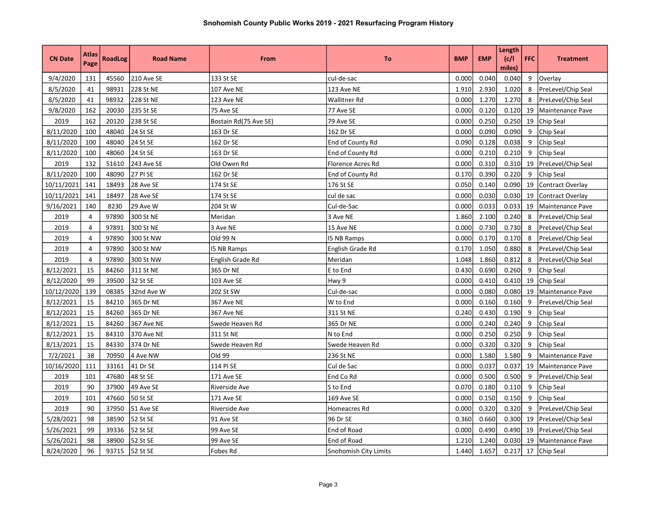| <b>CN Date</b> | Atlas<br>Page  | <b>RoadLog</b> | <b>Road Name</b>  | From                  | To                    | <b>BMP</b> | <b>EMP</b> | Length<br>(c/l)<br>miles) | <b>FFC</b> | <b>Treatment</b>     |
|----------------|----------------|----------------|-------------------|-----------------------|-----------------------|------------|------------|---------------------------|------------|----------------------|
| 9/4/2020       | 131            | 45560          | <b>210 Ave SE</b> | 133 St SE             | cul-de-sac            | 0.000      | 0.040      | 0.040                     | 9          | Overlay              |
| 8/5/2020       | 41             | 98931          | 228 St NE         | 107 Ave NE            | 123 Ave NE            | 1.910      | 2.930      | 1.020                     | 8          | PreLevel/Chip Seal   |
| 8/5/2020       | 41             | 98932          | 228 St NE         | 123 Ave NE            | Wallitner Rd          | 0.000      | 1.270      | 1.270                     | 8          | PreLevel/Chip Seal   |
| 9/8/2020       | 162            | 20030          | 235 St SE         | 75 Ave SE             | 77 Ave SE             | 0.000      | 0.120      | 0.120                     | 19         | Maintenance Pave     |
| 2019           | 162            | 20120          | 238 St SE         | Bostain Rd(75 Ave SE) | 79 Ave SE             | 0.000      | 0.250      | 0.250                     | 19         | Chip Seal            |
| 8/11/2020      | 100            | 48040          | 24 St SE          | 163 Dr SE             | 162 Dr SE             | 0.000      | 0.090      | 0.090                     | 9          | Chip Seal            |
| 8/11/2020      | 100            | 48040          | 24 St SE          | 162 Dr SE             | End of County Rd      | 0.090      | 0.128      | 0.038                     | 9          | Chip Seal            |
| 8/11/2020      | 100            | 48060          | 24 St SE          | 163 Dr SE             | End of County Rd      | 0.000      | 0.210      | 0.210                     | 9          | Chip Seal            |
| 2019           | 132            | 51610          | 243 Ave SE        | Old Owen Rd           | Florence Acres Rd     | 0.000      | 0.310      | 0.310                     | 19         | PreLevel/Chip Seal   |
| 8/11/2020      | 100            | 48090          | 27 PI SE          | 162 Dr SE             | End of County Rd      | 0.170      | 0.390      | 0.220                     | 9          | Chip Seal            |
| 10/11/2021     | 141            | 18493          | 28 Ave SE         | 174 St SE             | 176 St SE             | 0.050      | 0.140      | 0.090                     | 19         | Contract Overlay     |
| 10/11/2021     | 141            | 18497          | 28 Ave SE         | 174 St SE             | cul de sac            | 0.000      | 0.030      | 0.030                     | 19         | Contract Overlay     |
| 9/16/2021      | 140            | 8230           | 29 Ave W          | 204 St W              | Cul-de-Sac            | 0.000      | 0.033      | 0.033                     | 19         | Maintenance Pave     |
| 2019           | $\overline{4}$ | 97890          | 300 St NE         | Meridan               | 3 Ave NE              | 1.860      | 2.100      | 0.240                     |            | PreLevel/Chip Seal   |
| 2019           | 4              | 97891          | 300 St NE         | 3 Ave NE              | 15 Ave NE             | 0.000      | 0.730      | 0.730                     |            | PreLevel/Chip Seal   |
| 2019           | $\overline{4}$ | 97890          | 300 St NW         | Old 99 N              | <b>I5 NB Ramps</b>    | 0.000      | 0.170      | 0.170                     | 8          | PreLevel/Chip Seal   |
| 2019           | $\overline{a}$ | 97890          | 300 St NW         | <b>I5 NB Ramps</b>    | English Grade Rd      | 0.170      | 1.050      | 0.880                     | 8          | PreLevel/Chip Seal   |
| 2019           | $\overline{4}$ | 97890          | 300 St NW         | English Grade Rd      | Meridan               | 1.048      | 1.860      | 0.812                     | 8          | PreLevel/Chip Seal   |
| 8/12/2021      | 15             | 84260          | 311 St NE         | 365 Dr NE             | E to End              | 0.430      | 0.690      | 0.260                     | 9          | Chip Seal            |
| 8/12/2020      | 99             | 39500          | 32 St SE          | 103 Ave SE            | Hwy 9                 | 0.000      | 0.410      | 0.410                     | 19         | <b>Chip Seal</b>     |
| 10/12/2020     | 139            | 08385          | 32nd Ave W        | 202 St SW             | Cul-de-sac            | 0.000      | 0.080      | 0.080                     | 19         | Maintenance Pave     |
| 8/12/2021      | 15             | 84210          | 365 Dr NE         | 367 Ave NE            | W to End              | 0.000      | 0.160      | 0.160                     | 9          | PreLevel/Chip Seal   |
| 8/12/2021      | 15             | 84260          | 365 Dr NE         | <b>367 Ave NE</b>     | 311 St NE             | 0.240      | 0.430      | 0.190                     | 9          | Chip Seal            |
| 8/12/2021      | 15             | 84260          | 367 Ave NE        | Swede Heaven Rd       | 365 Dr NE             | 0.000      | 0.240      | 0.240                     | 9          | Chip Seal            |
| 8/12/2021      | 15             | 84310          | 370 Ave NE        | 311 St NE             | N to End              | 0.000      | 0.250      | 0.250                     | 9          | Chip Seal            |
| 8/13/2021      | 15             | 84330          | 374 Dr NE         | Swede Heaven Rd       | Swede Heaven Rd       | 0.000      | 0.320      | 0.320                     | 9          | Chip Seal            |
| 7/2/2021       | 38             | 70950          | 4 Ave NW          | Old 99                | 236 St NE             | 0.000      | 1.580      | 1.580                     | 9          | Maintenance Pave     |
| 10/16/2020     | 111            | 33161          | 41 Dr SE          | 114 PI SE             | Cul de Sac            | 0.000      | 0.037      | 0.037                     | 19         | Maintenance Pave     |
| 2019           | 101            | 47680          | 48 St SE          | 171 Ave SE            | End Co Rd             | 0.000      | 0.500      | 0.500                     | 9          | PreLevel/Chip Seal   |
| 2019           | 90             | 37900          | 49 Ave SE         | Riverside Ave         | S to End              | 0.070      | 0.180      | 0.110                     | 9          | Chip Seal            |
| 2019           | 101            | 47660          | 50 St SE          | 171 Ave SE            | 169 Ave SE            | 0.000      | 0.150      | 0.150                     | 9          | Chip Seal            |
| 2019           | 90             | 37950          | 51 Ave SE         | <b>Riverside Ave</b>  | Homeacres Rd          | 0.000      | 0.320      | 0.320                     | 9          | PreLevel/Chip Seal   |
| 5/28/2021      | 98             | 38590          | 52 St SE          | 91 Ave SE             | 96 Dr SE              | 0.360      | 0.660      | 0.300                     | 19         | PreLevel/Chip Seal   |
| 5/26/2021      | 99             | 39336          | 52 St SE          | 99 Ave SE             | End of Road           | 0.000      | 0.490      | 0.490                     | 19         | PreLevel/Chip Seal   |
| 5/26/2021      | 98             | 38900          | 52 St SE          | 99 Ave SE             | End of Road           | 1.210      | 1.240      | 0.030                     | 19         | Maintenance Pave     |
| 8/24/2020      | 96             |                | 93715 52 St SE    | Fobes Rd              | Snohomish City Limits | 1.440      | 1.657      |                           |            | $0.217$ 17 Chip Seal |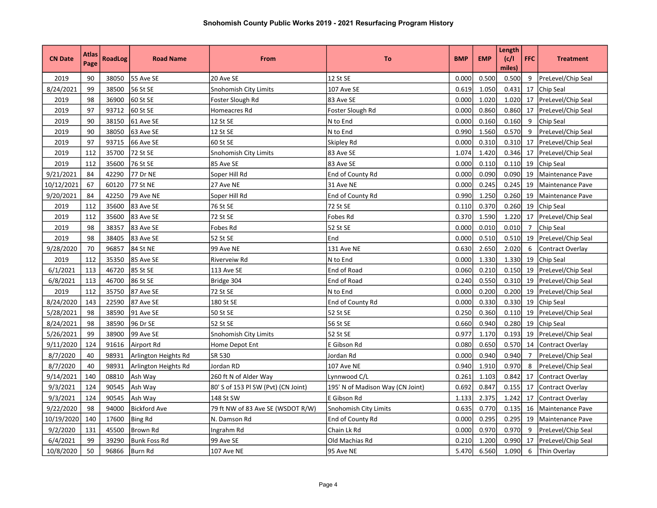|                | <b>Atlas</b> |                |                      |                                     |                                  |            |            | Length          |                |                         |
|----------------|--------------|----------------|----------------------|-------------------------------------|----------------------------------|------------|------------|-----------------|----------------|-------------------------|
| <b>CN Date</b> | Page         | <b>RoadLog</b> | <b>Road Name</b>     | From                                | <b>To</b>                        | <b>BMP</b> | <b>EMP</b> | (c/1)<br>miles) | <b>FFC</b>     | <b>Treatment</b>        |
| 2019           | 90           | 38050          | 55 Ave SE            | 20 Ave SE                           | 12 St SE                         | 0.000      | 0.500      | 0.500           | 9              | PreLevel/Chip Seal      |
| 8/24/2021      | 99           | 38500          | 56 St SE             | Snohomish City Limits               | 107 Ave SE                       | 0.619      | 1.050      | 0.431           | 17             | Chip Seal               |
| 2019           | 98           | 36900          | 60 St SE             | Foster Slough Rd                    | 83 Ave SE                        | 0.000      | 1.020      | 1.020           |                | 17   PreLevel/Chip Seal |
| 2019           | 97           | 93712          | 60 St SE             | Homeacres Rd                        | Foster Slough Rd                 | 0.000      | 0.860      | 0.860           | 17             | PreLevel/Chip Seal      |
| 2019           | 90           | 38150          | 61 Ave SE            | 12 St SE                            | N to End                         | 0.000      | 0.160      | 0.160           | 9              | Chip Seal               |
| 2019           | 90           | 38050          | 63 Ave SE            | 12 St SE                            | N to End                         | 0.990      | 1.560      | 0.570           | 9              | PreLevel/Chip Seal      |
| 2019           | 97           | 93715          | 66 Ave SE            | 60 St SE                            | Skipley Rd                       | 0.000      | 0.310      | 0.310           |                | 17 PreLevel/Chip Seal   |
| 2019           | 112          | 35700          | 72 St SE             | Snohomish City Limits               | 83 Ave SE                        | 1.074      | 1.420      | 0.346           |                | 17 PreLevel/Chip Seal   |
| 2019           | 112          | 35600          | 76 St SE             | 85 Ave SE                           | 83 Ave SE                        | 0.000      | 0.110      | 0.110           | 19             | Chip Seal               |
| 9/21/2021      | 84           | 42290          | 77 Dr NE             | Soper Hill Rd                       | End of County Rd                 | 0.000      | 0.090      | 0.090           | 19             | Maintenance Pave        |
| 10/12/2021     | 67           | 60120          | 77 St NE             | 27 Ave NE                           | 31 Ave NE                        | 0.000      | 0.245      | 0.245           | 19             | Maintenance Pave        |
| 9/20/2021      | 84           | 42250          | 79 Ave NE            | Soper Hill Rd                       | End of County Rd                 | 0.990      | 1.250      | 0.260           | 19             | Maintenance Pave        |
| 2019           | 112          | 35600          | 83 Ave SE            | 76 St SE                            | 72 St SE                         | 0.110      | 0.370      | 0.260           | 19             | <b>Chip Seal</b>        |
| 2019           | 112          | 35600          | 83 Ave SE            | 72 St SE                            | Fobes Rd                         | 0.370      | 1.590      | 1.220           | 17             | PreLevel/Chip Seal      |
| 2019           | 98           | 38357          | 83 Ave SE            | Fobes Rd                            | 52 St SE                         | 0.000      | 0.010      | 0.010           | $\overline{7}$ | Chip Seal               |
| 2019           | 98           | 38405          | 83 Ave SE            | 52 St SE                            | End                              | 0.000      | 0.510      | 0.510           | 19             | PreLevel/Chip Seal      |
| 9/28/2020      | 70           | 96857          | 84 St NE             | 99 Ave NE                           | 131 Ave NE                       | 0.630      | 2.650      | 2.020           | 6              | Contract Overlay        |
| 2019           | 112          | 35350          | 85 Ave SE            | Riverveiw Rd                        | N to End                         | 0.000      | 1.330      | 1.330           | 19             | Chip Seal               |
| 6/1/2021       | 113          | 46720          | 85 St SE             | 113 Ave SE                          | End of Road                      | 0.060      | 0.210      | 0.150           |                | 19 PreLevel/Chip Seal   |
| 6/8/2021       | 113          | 46700          | 86 St SE             | Bridge 304                          | End of Road                      | 0.240      | 0.550      | 0.310           |                | 19 PreLevel/Chip Seal   |
| 2019           | 112          | 35750          | 87 Ave SE            | 72 St SE                            | N to End                         | 0.000      | 0.200      | 0.200           |                | 19 PreLevel/Chip Seal   |
| 8/24/2020      | 143          | 22590          | 87 Ave SE            | 180 St SE                           | End of County Rd                 | 0.000      | 0.330      |                 |                | 0.330 19 Chip Seal      |
| 5/28/2021      | 98           | 38590          | 91 Ave SE            | 50 St SE                            | 52 St SE                         | 0.250      | 0.360      | 0.110           |                | 19   PreLevel/Chip Seal |
| 8/24/2021      | 98           | 38590          | 96 Dr SE             | 52 St SE                            | 56 St SE                         | 0.660      | 0.940      | 0.280           |                | 19 Chip Seal            |
| 5/26/2021      | 99           | 38900          | 99 Ave SE            | Snohomish City Limits               | 52 St SE                         | 0.977      | 1.170      | 0.193           |                | 19 PreLevel/Chip Seal   |
| 9/11/2020      | 124          | 91616          | Airport Rd           | Home Depot Ent                      | E Gibson Rd                      | 0.080      | 0.650      | 0.570           |                | 14 Contract Overlay     |
| 8/7/2020       | 40           | 98931          | Arlington Heights Rd | SR 530                              | Jordan Rd                        | 0.000      | 0.940      | 0.940           | $\overline{7}$ | PreLevel/Chip Seal      |
| 8/7/2020       | 40           | 98931          | Arlington Heights Rd | Jordan RD                           | 107 Ave NE                       | 0.940      | 1.910      | 0.970           | 8              | PreLevel/Chip Seal      |
| 9/14/2021      | 140          | 08810          | Ash Way              | 260 ft N of Alder Way               | Lynnwood C/L                     | 0.261      | 1.103      | 0.842           | 17             | Contract Overlay        |
| 9/3/2021       | 124          | 90545          | Ash Way              | 80' S of 153 Pl SW (Pvt) (CN Joint) | 195' N of Madison Way (CN Joint) | 0.692      | 0.847      | 0.155           | 17             | Contract Overlay        |
| 9/3/2021       | 124          | 90545          | Ash Way              | 148 St SW                           | E Gibson Rd                      | 1.133      | 2.375      | 1.242           | 17             | Contract Overlay        |
| 9/22/2020      | 98           | 94000          | <b>Bickford Ave</b>  | 79 ft NW of 83 Ave SE (WSDOT R/W)   | Snohomish City Limits            | 0.635      | 0.770      | 0.135           | 16             | Maintenance Pave        |
| 10/19/2020     | 140          | 17600          | Bing Rd              | N. Damson Rd                        | End of County Rd                 | 0.000      | 0.295      | 0.295           | 19             | Maintenance Pave        |
| 9/2/2020       | 131          | 45500          | <b>Brown Rd</b>      | Ingrahm Rd                          | Chain Lk Rd                      | 0.000      | 0.970      | 0.970           | 9              | PreLevel/Chip Seal      |
| 6/4/2021       | 99           | 39290          | <b>Bunk Foss Rd</b>  | 99 Ave SE                           | Old Machias Rd                   | 0.210      | 1.200      | 0.990           |                | 17 PreLevel/Chip Seal   |
| 10/8/2020      | 50           | 96866          | lBurn Rd             | 107 Ave NE                          | 95 Ave NE                        | 5.470      | 6.560      | 1.090           | 6              | Thin Overlay            |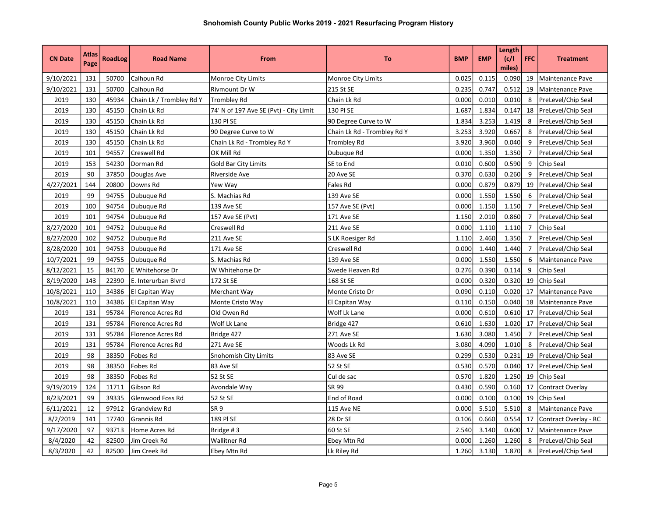| <b>CN Date</b> | <b>Atlas</b><br>Page | <b>RoadLog</b> | <b>Road Name</b>         | From                                   | To                          | <b>BMP</b> | <b>EMP</b> | Length<br> c/1 <br>miles) | <b>FFC</b>     | <b>Treatment</b>        |
|----------------|----------------------|----------------|--------------------------|----------------------------------------|-----------------------------|------------|------------|---------------------------|----------------|-------------------------|
| 9/10/2021      | 131                  | 50700          | Calhoun Rd               | Monroe City Limits                     | Monroe City Limits          | 0.025      | 0.115      | 0.090                     | 19             | Maintenance Pave        |
| 9/10/2021      | 131                  | 50700          | Calhoun Rd               | <b>Rivmount Dr W</b>                   | 215 St SE                   | 0.235      | 0.747      | 0.512                     | 19             | <b>Maintenance Pave</b> |
| 2019           | 130                  | 45934          | Chain Lk / Trombley Rd Y | Trombley Rd                            | Chain Lk Rd                 | 0.000      | 0.010      | 0.010                     | 8              | PreLevel/Chip Seal      |
| 2019           | 130                  | 45150          | Chain Lk Rd              | 74' N of 197 Ave SE (Pvt) - City Limit | 130 PI SE                   | 1.687      | 1.834      | 0.147                     | 18             | PreLevel/Chip Seal      |
| 2019           | 130                  | 45150          | Chain Lk Rd              | 130 PI SE                              | 90 Degree Curve to W        | 1.834      | 3.253      | 1.419                     | 8              | PreLevel/Chip Seal      |
| 2019           | 130                  | 45150          | Chain Lk Rd              | 90 Degree Curve to W                   | Chain Lk Rd - Trombley Rd Y | 3.253      | 3.920      | 0.667                     | 8              | PreLevel/Chip Seal      |
| 2019           | 130                  | 45150          | Chain Lk Rd              | Chain Lk Rd - Trombley Rd Y            | Trombley Rd                 | 3.920      | 3.960      | 0.040                     | 9              | PreLevel/Chip Seal      |
| 2019           | 101                  | 94557          | Creswell Rd              | OK Mill Rd                             | Dubuque Rd                  | 0.000      | 1.350      | 1.350                     | $\overline{7}$ | PreLevel/Chip Seal      |
| 2019           | 153                  | 54230          | Dorman Rd                | Gold Bar City Limits                   | SE to End                   | 0.010      | 0.600      | 0.590                     | 9              | <b>Chip Seal</b>        |
| 2019           | 90                   | 37850          | Douglas Ave              | Riverside Ave                          | 20 Ave SE                   | 0.370      | 0.630      | 0.260                     | 9              | PreLevel/Chip Seal      |
| 4/27/2021      | 144                  | 20800          | Downs Rd                 | Yew Way                                | Fales Rd                    | 0.000      | 0.879      | 0.879                     | 19             | PreLevel/Chip Seal      |
| 2019           | 99                   | 94755          | Dubuque Rd               | S. Machias Rd                          | 139 Ave SE                  | 0.000      | 1.550      | 1.550                     | 6              | PreLevel/Chip Seal      |
| 2019           | 100                  | 94754          | Dubuque Rd               | 139 Ave SE                             | 157 Ave SE (Pvt)            | 0.000      | 1.150      | 1.150                     | $7^{\circ}$    | PreLevel/Chip Seal      |
| 2019           | 101                  | 94754          | Dubuque Rd               | 157 Ave SE (Pvt)                       | 171 Ave SE                  | 1.150      | 2.010      | 0.860                     | $\overline{7}$ | PreLevel/Chip Seal      |
| 8/27/2020      | 101                  | 94752          | Dubuque Rd               | Creswell Rd                            | 211 Ave SE                  | 0.000      | 1.110      | 1.110                     | $\overline{7}$ | <b>Chip Seal</b>        |
| 8/27/2020      | 102                  | 94752          | Dubuque Rd               | 211 Ave SE                             | S LK Roesiger Rd            | 1.110      | 2.460      | 1.350                     | $\overline{7}$ | PreLevel/Chip Seal      |
| 8/28/2020      | 101                  | 94753          | Dubuque Rd               | 171 Ave SE                             | Creswell Rd                 | 0.000      | 1.440      | 1.440                     | $\overline{7}$ | PreLevel/Chip Seal      |
| 10/7/2021      | 99                   | 94755          | Dubuque Rd               | S. Machias Rd                          | 139 Ave SE                  | 0.000      | 1.550      | 1.550                     | 6              | Maintenance Pave        |
| 8/12/2021      | 15                   | 84170          | E Whitehorse Dr          | W Whitehorse Dr                        | Swede Heaven Rd             | 0.276      | 0.390      | 0.114                     | 9              | Chip Seal               |
| 8/19/2020      | 143                  | 22390          | E. Interurban Blvrd      | 172 St SE                              | 168 St SE                   | 0.000      | 0.320      | 0.320                     | 19             | <b>Chip Seal</b>        |
| 10/8/2021      | 110                  | 34386          | El Capitan Way           | Merchant Way                           | Monte Cristo Dr             | 0.090      | 0.110      | 0.020                     | 17             | Maintenance Pave        |
| 10/8/2021      | 110                  | 34386          | El Capitan Way           | Monte Cristo Way                       | El Capitan Way              | 0.110      | 0.150      | 0.040                     | 18             | Maintenance Pave        |
| 2019           | 131                  | 95784          | Florence Acres Rd        | Old Owen Rd                            | Wolf Lk Lane                | 0.000      | 0.610      | 0.610                     |                | 17 PreLevel/Chip Seal   |
| 2019           | 131                  | 95784          | Florence Acres Rd        | Wolf Lk Lane                           | Bridge 427                  | 0.610      | 1.630      | 1.020                     |                | 17 PreLevel/Chip Seal   |
| 2019           | 131                  | 95784          | Florence Acres Rd        | Bridge 427                             | 271 Ave SE                  | 1.630      | 3.080      | 1.450                     | $\overline{7}$ | PreLevel/Chip Seal      |
| 2019           | 131                  | 95784          | Florence Acres Rd        | 271 Ave SE                             | Woods Lk Rd                 | 3.080      | 4.090      | 1.010                     | 8              | PreLevel/Chip Seal      |
| 2019           | 98                   | 38350          | Fobes Rd                 | Snohomish City Limits                  | 83 Ave SE                   | 0.299      | 0.530      | 0.231                     | 19             | PreLevel/Chip Seal      |
| 2019           | 98                   | 38350          | Fobes Rd                 | 83 Ave SE                              | 52 St SE                    | 0.530      | 0.570      | 0.040                     | 17             | PreLevel/Chip Seal      |
| 2019           | 98                   | 38350          | <b>Fobes Rd</b>          | 52 St SE                               | Cul de sac                  | 0.570      | 1.820      | 1.250                     | 19             | <b>Chip Seal</b>        |
| 9/19/2019      | 124                  | 11711          | Gibson Rd                | Avondale Way                           | SR 99                       | 0.430      | 0.590      | 0.160                     | 17             | Contract Overlay        |
| 8/23/2021      | 99                   | 39335          | Glenwood Foss Rd         | 52 St SE                               | <b>End of Road</b>          | 0.000      | 0.100      | 0.100                     | 19             | <b>Chip Seal</b>        |
| 6/11/2021      | 12                   | 97912          | <b>Grandview Rd</b>      | SR <sub>9</sub>                        | 115 Ave NE                  | 0.000      | 5.510      | 5.510                     | 8              | Maintenance Pave        |
| 8/2/2019       | 141                  | 17740          | Grannis Rd               | 189 PI SE                              | 28 Dr SE                    | 0.106      | 0.660      | 0.554                     | 17             | Contract Overlay - RC   |
| 9/17/2020      | 97                   | 93713          | Home Acres Rd            | Bridge #3                              | 60 St SE                    | 2.540      | 3.140      | 0.600                     | 17             | Maintenance Pave        |
| 8/4/2020       | 42                   | 82500          | Jim Creek Rd             | Wallitner Rd                           | Ebey Mtn Rd                 | 0.000      | 1.260      | 1.260                     | 8              | PreLevel/Chip Seal      |
| 8/3/2020       | 42                   | 82500          | Jim Creek Rd             | Ebey Mtn Rd                            | Lk Riley Rd                 | 1.260      | 3.130      | 1.870                     | 8              | PreLevel/Chip Seal      |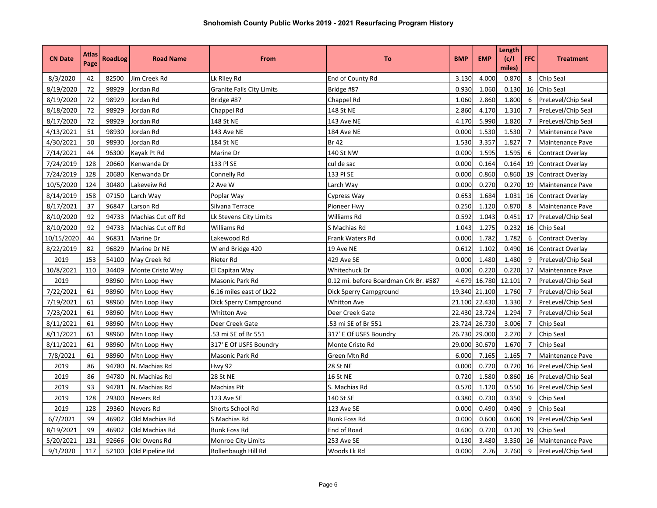|                | Atlas |                |                        |                                  |                                       |            |            | Length        |                |                    |
|----------------|-------|----------------|------------------------|----------------------------------|---------------------------------------|------------|------------|---------------|----------------|--------------------|
| <b>CN Date</b> | Page  | <b>RoadLog</b> | <b>Road Name</b>       | From                             | To                                    | <b>BMP</b> | <b>EMP</b> | c/1<br>miles) | <b>FFC</b>     | <b>Treatment</b>   |
| 8/3/2020       | 42    | 82500          | Jim Creek Rd           | Lk Riley Rd                      | End of County Rd                      | 3.130      | 4.000      | 0.870         | 8              | Chip Seal          |
| 8/19/2020      | 72    | 98929          | Jordan Rd              | <b>Granite Falls City Limits</b> | Bridge #87                            | 0.930      | 1.060      | 0.130         | 16             | Chip Seal          |
| 8/19/2020      | 72    | 98929          | Jordan Rd              | Bridge #87                       | Chappel Rd                            | 1.060      | 2.860      | 1.800         | 6              | PreLevel/Chip Seal |
| 8/18/2020      | 72    | 98929          | Jordan Rd              | Chappel Rd                       | 148 St NE                             | 2.860      | 4.170      | 1.310         | 7              | PreLevel/Chip Seal |
| 8/17/2020      | 72    | 98929          | Jordan Rd              | 148 St NE                        | 143 Ave NE                            | 4.170      | 5.990      | 1.820         | 7              | PreLevel/Chip Seal |
| 4/13/2021      | 51    | 98930          | Jordan Rd              | 143 Ave NE                       | 184 Ave NE                            | 0.000      | 1.530      | 1.530         | 7              | Maintenance Pave   |
| 4/30/2021      | 50    | 98930          | Jordan Rd              | 184 St NE                        | Br 42                                 | 1.530      | 3.357      | 1.827         |                | Maintenance Pave   |
| 7/14/2021      | 44    | 96300          | Kayak Pt Rd            | Marine Dr                        | 140 St NW                             | 0.000      | 1.595      | 1.595         | 6              | Contract Overlay   |
| 7/24/2019      | 128   | 20660          | Kenwanda Dr            | 133 PI SE                        | cul de sac                            | 0.000      | 0.164      | 0.164         | 19             | Contract Overlay   |
| 7/24/2019      | 128   | 20680          | Kenwanda Dr            | Connelly Rd                      | 133 PI SE                             | 0.000      | 0.860      | 0.860         | 19             | Contract Overlay   |
| 10/5/2020      | 124   | 30480          | Lakeveiw Rd            | 2 Ave W                          | Larch Way                             | 0.000      | 0.270      | 0.270         | 19             | Maintenance Pave   |
| 8/14/2019      | 158   | 07150          | Larch Way              | Poplar Way                       | Cypress Way                           | 0.653      | 1.684      | 1.031         | 16             | Contract Overlay   |
| 8/17/2021      | 37    | 96847          | Larson Rd              | Silvana Terrace                  | Pioneer Hwy                           | 0.250      | 1.120      | 0.870         | 8              | Maintenance Pave   |
| 8/10/2020      | 92    | 94733          | Machias Cut off Rd     | Lk Stevens City Limits           | Williams Rd                           | 0.592      | 1.043      | 0.451         | 17             | PreLevel/Chip Seal |
| 8/10/2020      | 92    | 94733          | Machias Cut off Rd     | Williams Rd                      | S Machias Rd                          | 1.043      | 1.275      | 0.232         | 16             | Chip Seal          |
| 10/15/2020     | 44    | 96831          | Marine Dr              | Lakewood Rd                      | Frank Waters Rd                       | 0.000      | 1.782      | 1.782         | 6              | Contract Overlay   |
| 8/22/2019      | 82    | 96829          | Marine Dr NE           | W end Bridge 420                 | 19 Ave NE                             | 0.612      | 1.102      | 0.490         | 16             | Contract Overlay   |
| 2019           | 153   | 54100          | May Creek Rd           | Rieter Rd                        | 429 Ave SE                            | 0.000      | 1.480      | 1.480         | 9              | PreLevel/Chip Seal |
| 10/8/2021      | 110   | 34409          | Monte Cristo Way       | El Capitan Way                   | Whitechuck Dr                         | 0.000      | 0.220      | 0.220         | 17             | Maintenance Pave   |
| 2019           |       | 98960          | Mtn Loop Hwy           | Masonic Park Rd                  | 0.12 mi. before Boardman Crk Br. #587 | 4.679      | 16.780     | 12.101        | 7              | PreLevel/Chip Seal |
| 7/22/2021      | 61    | 98960          | Mtn Loop Hwy           | 6.16 miles east of Lk22          | Dick Sperry Campground                | 19.340     | 21.100     | 1.760         | 7              | PreLevel/Chip Seal |
| 7/19/2021      | 61    | 98960          | Mtn Loop Hwy           | Dick Sperry Campground           | Whitton Ave                           | 21.100     | 22.430     | 1.330         | $\overline{7}$ | PreLevel/Chip Seal |
| 7/23/2021      | 61    | 98960          | Mtn Loop Hwy           | <b>Whitton Ave</b>               | Deer Creek Gate                       | 22.430     | 23.724     | 1.294         | $\overline{7}$ | PreLevel/Chip Seal |
| 8/11/2021      | 61    | 98960          | Mtn Loop Hwy           | Deer Creek Gate                  | .53 mi SE of Br 551                   | 23.724     | 26.730     | 3.006         | $\overline{7}$ | Chip Seal          |
| 8/11/2021      | 61    | 98960          | Mtn Loop Hwy           | .53 mi SE of Br 551              | 317' E Of USFS Boundry                | 26.730     | 29.000     | 2.270         | $\overline{7}$ | Chip Seal          |
| 8/11/2021      | 61    | 98960          | Mtn Loop Hwy           | 317' E Of USFS Boundry           | Monte Cristo Rd                       | 29.000     | 30.670     | 1.670         | $\overline{7}$ | Chip Seal          |
| 7/8/2021       | 61    | 98960          | Mtn Loop Hwy           | Masonic Park Rd                  | Green Mtn Rd                          | 6.000      | 7.165      | 1.165         | $\overline{7}$ | Maintenance Pave   |
| 2019           | 86    | 94780          | N. Machias Rd          | <b>Hwy 92</b>                    | <b>28 St NE</b>                       | 0.000      | 0.720      | 0.720         | 16             | PreLevel/Chip Seal |
| 2019           | 86    | 94780          | N. Machias Rd          | 28 St NE                         | <b>16 St NE</b>                       | 0.720      | 1.580      | 0.860         | 16             | PreLevel/Chip Seal |
| 2019           | 93    | 94781          | N. Machias Rd          | Machias Pit                      | S. Machias Rd                         | 0.570      | 1.120      | 0.550         | 16             | PreLevel/Chip Seal |
| 2019           | 128   | 29300          | Nevers Rd              | 123 Ave SE                       | 140 St SE                             | 0.380      | 0.730      | 0.350         | 9              | Chip Seal          |
| 2019           | 128   | 29360          | Nevers Rd              | Shorts School Rd                 | 123 Ave SE                            | 0.000      | 0.490      | 0.490         | 9              | Chip Seal          |
| 6/7/2021       | 99    | 46902          | Old Machias Rd         | S Machias Rd                     | Bunk Foss Rd                          | 0.000      | 0.600      | 0.600         | 19             | PreLevel/Chip Seal |
| 8/19/2021      | 99    | 46902          | Old Machias Rd         | <b>Bunk Foss Rd</b>              | End of Road                           | 0.600      | 0.720      | 0.120         | 19             | Chip Seal          |
| 5/20/2021      | 131   | 92666          | Old Owens Rd           | Monroe City Limits               | 253 Ave SE                            | 0.130      | 3.480      | 3.350         | 16             | Maintenance Pave   |
| 9/1/2020       | 117   | 52100          | <b>Old Pipeline Rd</b> | Bollenbaugh Hill Rd              | Woods Lk Rd                           | 0.000      | 2.76       | 2.760         | 9              | PreLevel/Chip Seal |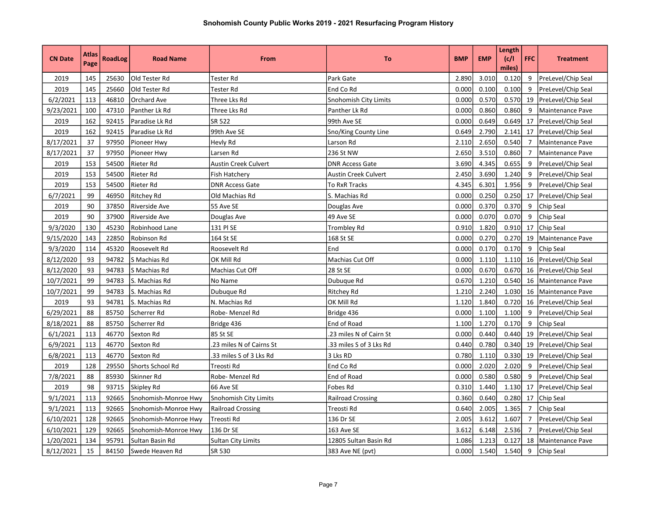| <b>CN Date</b> | Atlas<br>Page | <b>RoadLog</b> | <b>Road Name</b>     | From                        | To                       | <b>BMP</b> | <b>EMP</b> | Length<br>(c/l)<br>miles) | <b>FFC</b>     | <b>Treatment</b>          |
|----------------|---------------|----------------|----------------------|-----------------------------|--------------------------|------------|------------|---------------------------|----------------|---------------------------|
| 2019           | 145           | 25630          | Old Tester Rd        | Tester Rd                   | Park Gate                | 2.890      | 3.010      | 0.120                     | 9              | PreLevel/Chip Seal        |
| 2019           | 145           | 25660          | Old Tester Rd        | Tester Rd                   | End Co Rd                | 0.000      | 0.100      | 0.100                     | 9              | PreLevel/Chip Seal        |
| 6/2/2021       | 113           | 46810          | Orchard Ave          | Three Lks Rd                | Snohomish City Limits    | 0.000      | 0.570      | 0.570                     | 19             | <b>PreLevel/Chip Seal</b> |
| 9/23/2021      | 100           | 47310          | Panther Lk Rd        | Three Lks Rd                | Panther Lk Rd            | 0.000      | 0.860      | 0.860                     | 9              | Maintenance Pave          |
| 2019           | 162           | 92415          | Paradise Lk Rd       | SR 522                      | 99th Ave SE              | 0.000      | 0.649      | 0.649                     |                | 17   PreLevel/Chip Seal   |
| 2019           | 162           | 92415          | Paradise Lk Rd       | 99th Ave SE                 | Sno/King County Line     | 0.649      | 2.790      | 2.141                     |                | 17   PreLevel/Chip Seal   |
| 8/17/2021      | 37            | 97950          | Pioneer Hwy          | Hevly Rd                    | Larson Rd                | 2.110      | 2.650      | 0.540                     | $7^{\circ}$    | Maintenance Pave          |
| 8/17/2021      | 37            | 97950          | Pioneer Hwy          | Larsen Rd                   | 236 St NW                | 2.650      | 3.510      | 0.860                     | $\overline{7}$ | Maintenance Pave          |
| 2019           | 153           | 54500          | Rieter Rd            | <b>Austin Creek Culvert</b> | <b>DNR Access Gate</b>   | 3.690      | 4.345      | 0.655                     | 9              | PreLevel/Chip Seal        |
| 2019           | 153           | 54500          | Rieter Rd            | <b>Fish Hatchery</b>        | Austin Creek Culvert     | 2.450      | 3.690      | 1.240                     | 9              | PreLevel/Chip Seal        |
| 2019           | 153           | 54500          | Rieter Rd            | <b>DNR Access Gate</b>      | To RxR Tracks            | 4.345      | 6.301      | 1.956                     | 9              | PreLevel/Chip Seal        |
| 6/7/2021       | 99            | 46950          | Ritchey Rd           | Old Machias Rd              | S. Machias Rd            | 0.000      | 0.250      | 0.250                     | 17             | PreLevel/Chip Seal        |
| 2019           | 90            | 37850          | Riverside Ave        | 55 Ave SE                   | Douglas Ave              | 0.000      | 0.370      | 0.370                     | 9              | Chip Seal                 |
| 2019           | 90            | 37900          | Riverside Ave        | Douglas Ave                 | 49 Ave SE                | 0.000      | 0.070      | 0.070                     | 9              | Chip Seal                 |
| 9/3/2020       | 130           | 45230          | Robinhood Lane       | 131 PI SE                   | Trombley Rd              | 0.910      | 1.820      | 0.910                     | 17             | Chip Seal                 |
| 9/15/2020      | 143           | 22850          | Robinson Rd          | 164 St SE                   | 168 St SE                | 0.000      | 0.270      | 0.270                     | 19             | <b>Maintenance Pave</b>   |
| 9/3/2020       | 114           | 45320          | Roosevelt Rd         | Roosevelt Rd                | End                      | 0.000      | 0.170      | 0.170                     | 9              | Chip Seal                 |
| 8/12/2020      | 93            | 94782          | S Machias Rd         | OK Mill Rd                  | Machias Cut Off          | 0.000      | 1.110      | 1.110                     | 16             | PreLevel/Chip Seal        |
| 8/12/2020      | 93            | 94783          | S Machias Rd         | Machias Cut Off             | 28 St SE                 | 0.000      | 0.670      | 0.670                     | 16             | PreLevel/Chip Seal        |
| 10/7/2021      | 99            | 94783          | S. Machias Rd        | No Name                     | Dubuque Rd               | 0.670      | 1.210      | 0.540                     | 16             | Maintenance Pave          |
| 10/7/2021      | 99            | 94783          | S. Machias Rd        | Dubuque Rd                  | Ritchey Rd               | 1.210      | 2.240      | 1.030                     |                | 16 Maintenance Pave       |
| 2019           | 93            | 94781          | lS. Machias Rd       | N. Machias Rd               | OK Mill Rd               | 1.120      | 1.840      | 0.720                     |                | 16 PreLevel/Chip Seal     |
| 6/29/2021      | 88            | 85750          | Scherrer Rd          | Robe-Menzel Rd              | Bridge 436               | 0.000      | 1.100      | 1.100                     | 9              | PreLevel/Chip Seal        |
| 8/18/2021      | 88            | 85750          | Scherrer Rd          | Bridge 436                  | End of Road              | 1.100      | 1.270      | 0.170                     | 9              | Chip Seal                 |
| 6/1/2021       | 113           | 46770          | Sexton Rd            | 85 St SE                    | .23 miles N of Cairn St  | 0.000      | 0.440      | 0.440                     |                | 19 PreLevel/Chip Seal     |
| 6/9/2021       | 113           | 46770          | Sexton Rd            | .23 miles N of Cairns St    | .33 miles S of 3 Lks Rd  | 0.440      | 0.780      | 0.340                     |                | 19   PreLevel/Chip Seal   |
| 6/8/2021       | 113           | 46770          | Sexton Rd            | .33 miles S of 3 Lks Rd     | 3 Lks RD                 | 0.780      | 1.110      | 0.330                     |                | 19 PreLevel/Chip Seal     |
| 2019           | 128           | 29550          | Shorts School Rd     | Treosti Rd                  | End Co Rd                | 0.000      | 2.020      | 2.020                     | 9              | PreLevel/Chip Seal        |
| 7/8/2021       | 88            | 85930          | Skinner Rd           | Robe-Menzel Rd              | End of Road              | 0.000      | 0.580      | 0.580                     | 9              | PreLevel/Chip Seal        |
| 2019           | 98            | 93715          | Skipley Rd           | 66 Ave SE                   | Fobes Rd                 | 0.310      | 1.440      | 1.130                     | 17             | PreLevel/Chip Seal        |
| 9/1/2021       | 113           | 92665          | Snohomish-Monroe Hwy | Snohomish City Limits       | <b>Railroad Crossing</b> | 0.360      | 0.640      | 0.280                     | 17             | Chip Seal                 |
| 9/1/2021       | 113           | 92665          | Snohomish-Monroe Hwy | <b>Railroad Crossing</b>    | Treosti Rd               | 0.640      | 2.005      | 1.365                     | $\overline{7}$ | <b>Chip Seal</b>          |
| 6/10/2021      | 128           | 92665          | Snohomish-Monroe Hwy | Treosti Rd                  | 136 Dr SE                | 2.005      | 3.612      | 1.607                     | $\overline{7}$ | PreLevel/Chip Seal        |
| 6/10/2021      | 129           | 92665          | Snohomish-Monroe Hwy | 136 Dr SE                   | 163 Ave SE               | 3.612      | 6.148      | 2.536                     | $\overline{7}$ | PreLevel/Chip Seal        |
| 1/20/2021      | 134           | 95791          | Sultan Basin Rd      | Sultan City Limits          | 12805 Sultan Basin Rd    | 1.086      | 1.213      | 0.127                     | 18             | Maintenance Pave          |
| 8/12/2021      | 15            | 84150          | lSwede Heaven Rd     | SR 530                      | 383 Ave NE (pvt)         | 0.000      | 1.540      | 1.540                     | 9              | <b>Chip Seal</b>          |